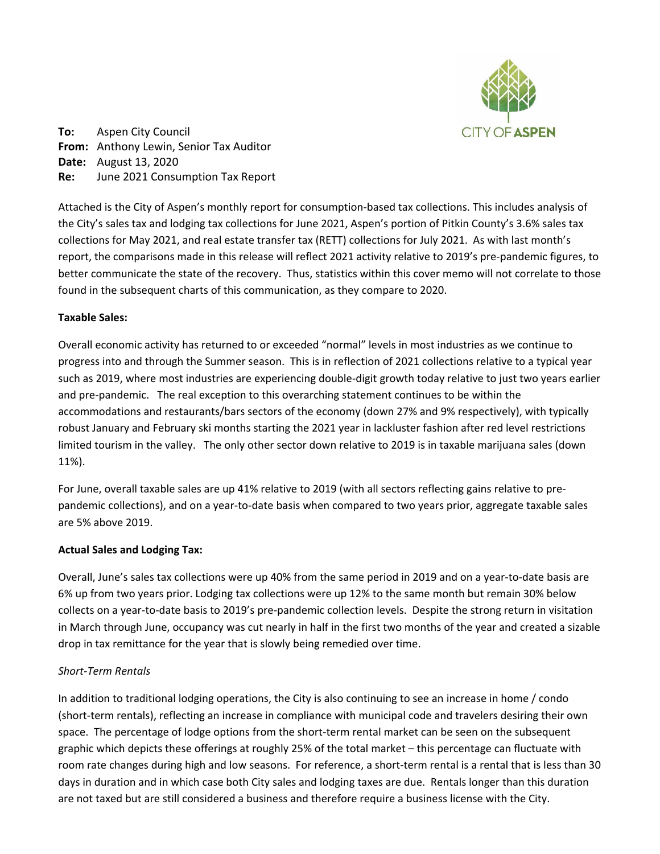

**To:** Aspen City Council **From:** Anthony Lewin, Senior Tax Auditor **Date:** August 13, 2020 **Re:** June 2021 Consumption Tax Report

Attached is the City of Aspen's monthly report for consumption‐based tax collections. This includes analysis of the City's sales tax and lodging tax collections for June 2021, Aspen's portion of Pitkin County's 3.6% sales tax collections for May 2021, and real estate transfer tax (RETT) collections for July 2021. As with last month's report, the comparisons made in this release will reflect 2021 activity relative to 2019's pre‐pandemic figures, to better communicate the state of the recovery. Thus, statistics within this cover memo will not correlate to those found in the subsequent charts of this communication, as they compare to 2020.

## **Taxable Sales:**

Overall economic activity has returned to or exceeded "normal" levels in most industries as we continue to progress into and through the Summer season. This is in reflection of 2021 collections relative to a typical year such as 2019, where most industries are experiencing double‐digit growth today relative to just two years earlier and pre-pandemic. The real exception to this overarching statement continues to be within the accommodations and restaurants/bars sectors of the economy (down 27% and 9% respectively), with typically robust January and February ski months starting the 2021 year in lackluster fashion after red level restrictions limited tourism in the valley. The only other sector down relative to 2019 is in taxable marijuana sales (down 11%).

For June, overall taxable sales are up 41% relative to 2019 (with all sectors reflecting gains relative to pre‐ pandemic collections), and on a year‐to‐date basis when compared to two years prior, aggregate taxable sales are 5% above 2019.

## **Actual Sales and Lodging Tax:**

Overall, June's sales tax collections were up 40% from the same period in 2019 and on a year‐to‐date basis are 6% up from two years prior. Lodging tax collections were up 12% to the same month but remain 30% below collects on a year‐to‐date basis to 2019's pre‐pandemic collection levels. Despite the strong return in visitation in March through June, occupancy was cut nearly in half in the first two months of the year and created a sizable drop in tax remittance for the year that is slowly being remedied over time.

# *Short‐Term Rentals*

In addition to traditional lodging operations, the City is also continuing to see an increase in home / condo (short‐term rentals), reflecting an increase in compliance with municipal code and travelers desiring their own space. The percentage of lodge options from the short-term rental market can be seen on the subsequent graphic which depicts these offerings at roughly 25% of the total market – this percentage can fluctuate with room rate changes during high and low seasons. For reference, a short-term rental is a rental that is less than 30 days in duration and in which case both City sales and lodging taxes are due. Rentals longer than this duration are not taxed but are still considered a business and therefore require a business license with the City.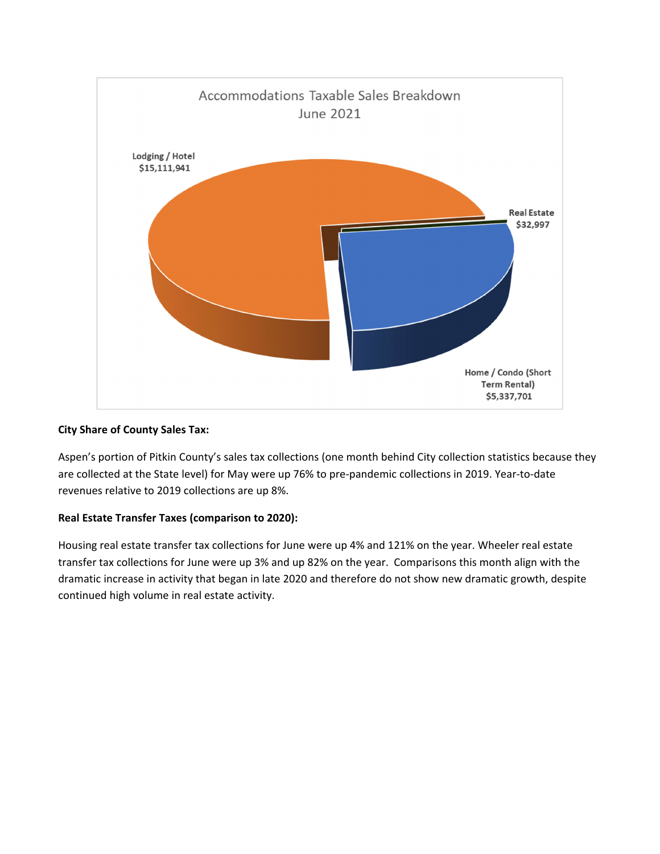

## **City Share of County Sales Tax:**

Aspen's portion of Pitkin County's sales tax collections (one month behind City collection statistics because they are collected at the State level) for May were up 76% to pre‐pandemic collections in 2019. Year‐to‐date revenues relative to 2019 collections are up 8%.

# **Real Estate Transfer Taxes (comparison to 2020):**

Housing real estate transfer tax collections for June were up 4% and 121% on the year. Wheeler real estate transfer tax collections for June were up 3% and up 82% on the year. Comparisons this month align with the dramatic increase in activity that began in late 2020 and therefore do not show new dramatic growth, despite continued high volume in real estate activity.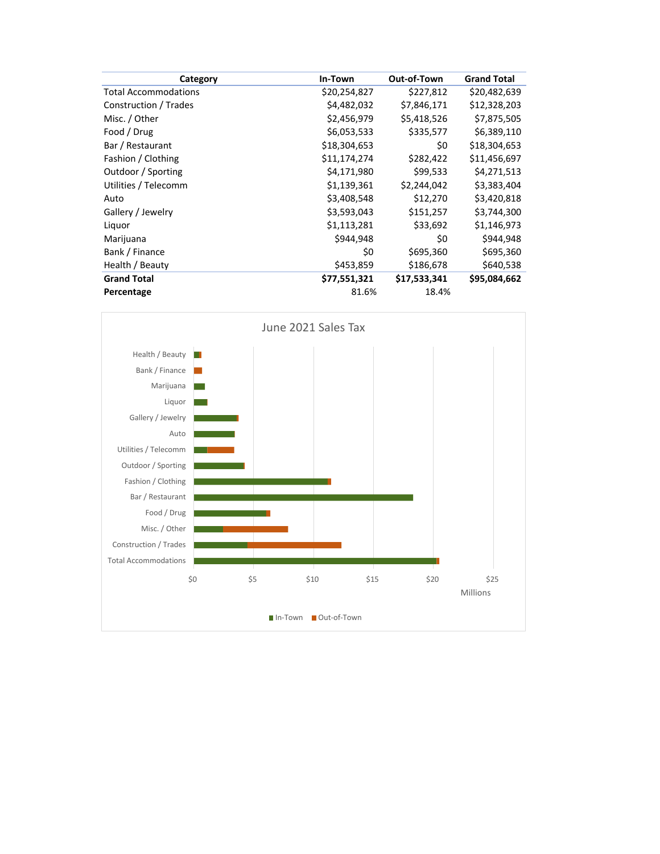| Category                    | In-Town      | Out-of-Town  | <b>Grand Total</b> |
|-----------------------------|--------------|--------------|--------------------|
| <b>Total Accommodations</b> | \$20,254,827 | \$227,812    | \$20,482,639       |
| Construction / Trades       | \$4,482,032  | \$7,846,171  | \$12,328,203       |
| Misc. / Other               | \$2,456,979  | \$5,418,526  | \$7,875,505        |
| Food / Drug                 | \$6,053,533  | \$335,577    | \$6,389,110        |
| Bar / Restaurant            | \$18,304,653 | \$0          | \$18,304,653       |
| Fashion / Clothing          | \$11,174,274 | \$282,422    | \$11,456,697       |
| Outdoor / Sporting          | \$4,171,980  | \$99,533     | \$4,271,513        |
| Utilities / Telecomm        | \$1,139,361  | \$2,244,042  | \$3,383,404        |
| Auto                        | \$3,408,548  | \$12,270     | \$3,420,818        |
| Gallery / Jewelry           | \$3,593,043  | \$151,257    | \$3,744,300        |
| Liquor                      | \$1,113,281  | \$33,692     | \$1,146,973        |
| Marijuana                   | \$944,948    | \$0          | \$944,948          |
| Bank / Finance              | \$0          | \$695,360    | \$695,360          |
| Health / Beauty             | \$453,859    | \$186,678    | \$640,538          |
| <b>Grand Total</b>          | \$77,551,321 | \$17,533,341 | \$95,084,662       |
| Percentage                  | 81.6%        | 18.4%        |                    |

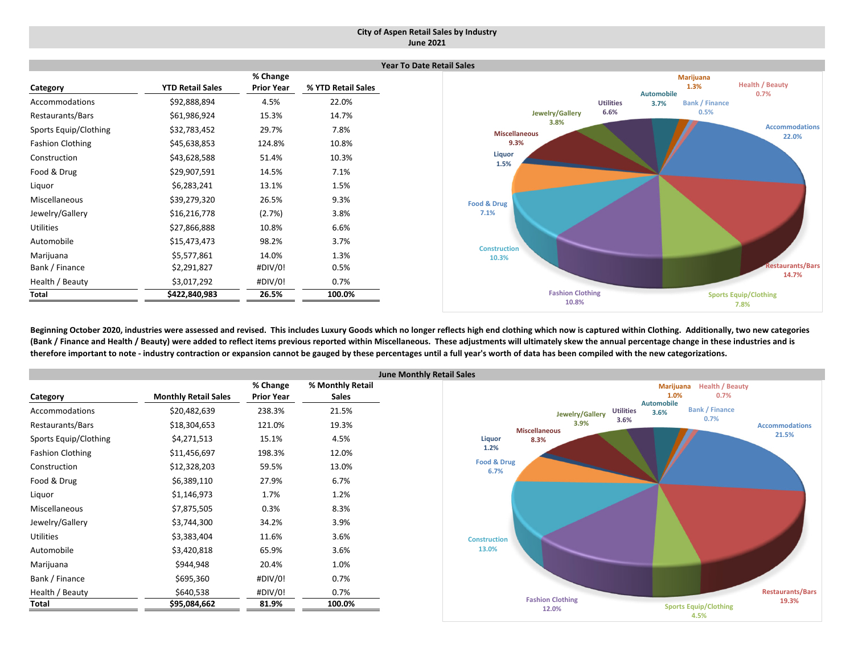## **City of Aspen Retail Sales by Industry June 2021**

|                         |                         |                   | Yе                 |
|-------------------------|-------------------------|-------------------|--------------------|
|                         |                         | % Change          |                    |
| Category                | <b>YTD Retail Sales</b> | <b>Prior Year</b> | % YTD Retail Sales |
| Accommodations          | \$92,888,894            | 4.5%              | 22.0%              |
| Restaurants/Bars        | \$61,986,924            | 15.3%             | 14.7%              |
| Sports Equip/Clothing   | \$32,783,452            | 29.7%             | 7.8%               |
| <b>Fashion Clothing</b> | \$45,638,853            | 124.8%            | 10.8%              |
| Construction            | \$43,628,588            | 51.4%             | 10.3%              |
| Food & Drug             | \$29,907,591            | 14.5%             | 7.1%               |
| Liquor                  | \$6,283,241             | 13.1%             | 1.5%               |
| Miscellaneous           | \$39,279,320            | 26.5%             | 9.3%               |
| Jewelry/Gallery         | \$16,216,778            | (2.7%)            | 3.8%               |
| <b>Utilities</b>        | \$27,866,888            | 10.8%             | 6.6%               |
| Automobile              | \$15,473,473            | 98.2%             | 3.7%               |
| Marijuana               | \$5,577,861             | 14.0%             | 1.3%               |
| Bank / Finance          | \$2,291,827             | #DIV/0!           | 0.5%               |
| Health / Beauty         | \$3,017,292             | #DIV/0!           | 0.7%               |
| Total                   | \$422,840,983           | 26.5%             | 100.0%             |



Beginning October 2020, industries were assessed and revised. This includes Luxury Goods which no longer reflects high end clothing which now is captured within Clothing. Additionally, two new categories (Bank / Finance and Health / Beauty) were added to reflect items previous reported within Miscellaneous. These adjustments will ultimately skew the annual percentage change in these industries and is therefore important to note - industry contraction or expansion cannot be gauged by these percentages until a full year's worth of data has been compiled with the new categorizations.

|                         |                             |                               | Ju                               |
|-------------------------|-----------------------------|-------------------------------|----------------------------------|
|                         | <b>Monthly Retail Sales</b> | % Change<br><b>Prior Year</b> | % Monthly Retail<br><b>Sales</b> |
| Category                |                             |                               |                                  |
| Accommodations          | \$20,482,639                | 238.3%                        | 21.5%                            |
| Restaurants/Bars        | \$18,304,653                | 121.0%                        | 19.3%                            |
| Sports Equip/Clothing   | \$4,271,513                 | 15.1%                         | 4.5%                             |
| <b>Fashion Clothing</b> | \$11,456,697                | 198.3%                        | 12.0%                            |
| Construction            | \$12,328,203                | 59.5%                         | 13.0%                            |
| Food & Drug             | \$6,389,110                 | 27.9%                         | 6.7%                             |
| Liquor                  | \$1,146,973                 | 1.7%                          | 1.2%                             |
| <b>Miscellaneous</b>    | \$7,875,505                 | 0.3%                          | 8.3%                             |
| Jewelry/Gallery         | \$3,744,300                 | 34.2%                         | 3.9%                             |
| <b>Utilities</b>        | \$3,383,404                 | 11.6%                         | 3.6%                             |
| Automobile              | \$3,420,818                 | 65.9%                         | 3.6%                             |
| Marijuana               | \$944,948                   | 20.4%                         | 1.0%                             |
| Bank / Finance          | \$695,360                   | #DIV/0!                       | 0.7%                             |
| Health / Beauty         | \$640,538                   | #DIV/0!                       | 0.7%                             |
| Total                   | \$95,084,662                | 81.9%                         | 100.0%                           |

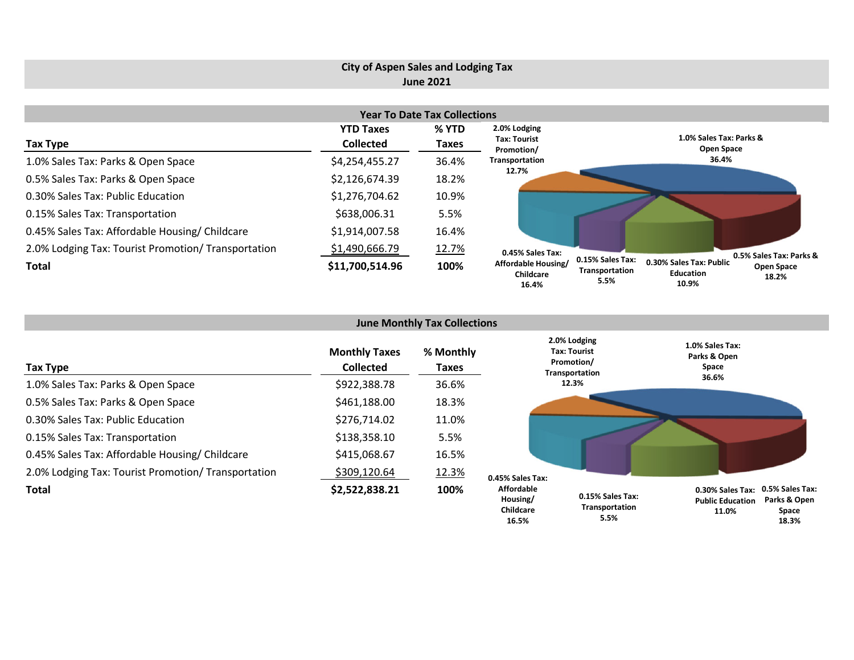# **City of Aspen Sales and Lodging Tax June 2021**

| <b>Year To Date Tax Collections</b>                 |                  |       |                                           |                                                                                                                                  |  |  |  |  |  |
|-----------------------------------------------------|------------------|-------|-------------------------------------------|----------------------------------------------------------------------------------------------------------------------------------|--|--|--|--|--|
|                                                     | <b>YTD Taxes</b> | % YTD | 2.0% Lodging                              |                                                                                                                                  |  |  |  |  |  |
| Tax Type                                            | <b>Collected</b> | Taxes | <b>Tax: Tourist</b><br>Promotion/         | 1.0% Sales Tax: Parks &<br>Open Space                                                                                            |  |  |  |  |  |
| 1.0% Sales Tax: Parks & Open Space                  | \$4,254,455.27   | 36.4% | Transportation                            | 36.4%                                                                                                                            |  |  |  |  |  |
| 0.5% Sales Tax: Parks & Open Space                  | \$2,126,674.39   | 18.2% | 12.7%                                     |                                                                                                                                  |  |  |  |  |  |
| 0.30% Sales Tax: Public Education                   | \$1,276,704.62   | 10.9% |                                           |                                                                                                                                  |  |  |  |  |  |
| 0.15% Sales Tax: Transportation                     | \$638,006.31     | 5.5%  |                                           |                                                                                                                                  |  |  |  |  |  |
| 0.45% Sales Tax: Affordable Housing/ Childcare      | \$1,914,007.58   | 16.4% |                                           |                                                                                                                                  |  |  |  |  |  |
| 2.0% Lodging Tax: Tourist Promotion/ Transportation | \$1,490,666.79   | 12.7% | 0.45% Sales Tax:                          | 0.5% Sales Tax: Parks &                                                                                                          |  |  |  |  |  |
| Total                                               | \$11,700,514.96  | 100%  | Affordable Housing/<br>Childcare<br>16.4% | 0.15% Sales Tax:<br>0.30% Sales Tax: Public<br><b>Open Space</b><br>Transportation<br><b>Education</b><br>18.2%<br>5.5%<br>10.9% |  |  |  |  |  |

| <b>June Monthly Tax Collections</b>                 |                                          |                    |                                            |                                                              |                                                                                                  |  |  |  |  |
|-----------------------------------------------------|------------------------------------------|--------------------|--------------------------------------------|--------------------------------------------------------------|--------------------------------------------------------------------------------------------------|--|--|--|--|
| Tax Type                                            | <b>Monthly Taxes</b><br><b>Collected</b> | % Monthly<br>Taxes |                                            | 2.0% Lodging<br>Tax: Tourist<br>Promotion/<br>Transportation | 1.0% Sales Tax:<br>Parks & Open<br>Space                                                         |  |  |  |  |
| 1.0% Sales Tax: Parks & Open Space                  | \$922,388.78                             | 36.6%              |                                            | 12.3%                                                        | 36.6%                                                                                            |  |  |  |  |
| 0.5% Sales Tax: Parks & Open Space                  | \$461,188.00                             | 18.3%              |                                            |                                                              |                                                                                                  |  |  |  |  |
| 0.30% Sales Tax: Public Education                   | \$276,714.02                             | 11.0%              |                                            |                                                              |                                                                                                  |  |  |  |  |
| 0.15% Sales Tax: Transportation                     | \$138,358.10                             | 5.5%               |                                            |                                                              |                                                                                                  |  |  |  |  |
| 0.45% Sales Tax: Affordable Housing/Childcare       | \$415,068.67                             | 16.5%              |                                            |                                                              |                                                                                                  |  |  |  |  |
| 2.0% Lodging Tax: Tourist Promotion/ Transportation | \$309,120.64                             | 12.3%              | 0.45% Sales Tax:                           |                                                              |                                                                                                  |  |  |  |  |
| Total                                               | \$2,522,838.21                           | 100%               | <b>Affordable</b><br>Housing/<br>Childcare | 0.15% Sales Tax:<br><b>Transportation</b>                    | 0.5% Sales Tax:<br>0.30% Sales Tax:<br>Parks & Open<br><b>Public Education</b><br>Space<br>11.0% |  |  |  |  |

**Space 18.3%**

**5.5%**

**16.5%**

**16.4%**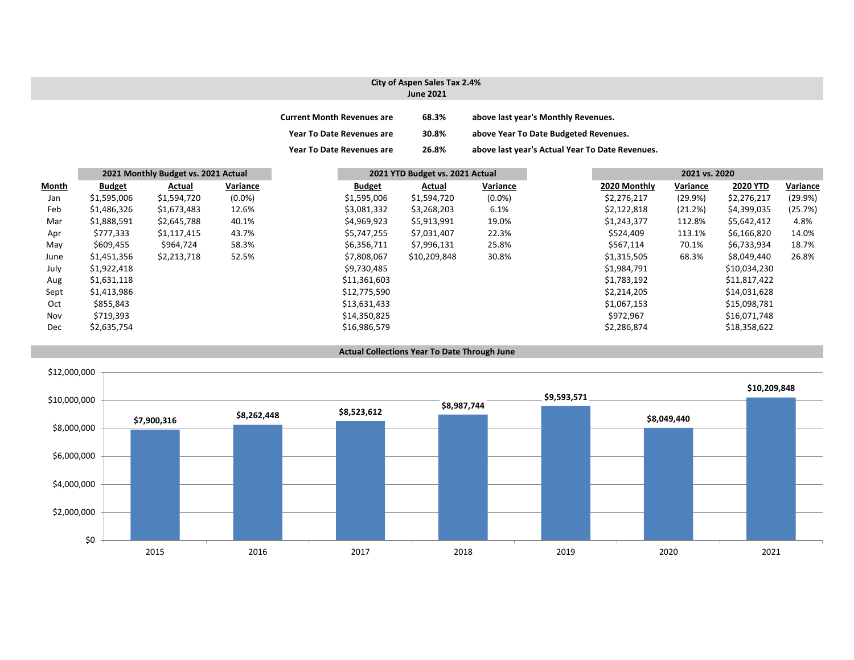## **City of Aspen Sales Tax 2.4% June 2021**

| <b>Current Month Revenues are</b> | 68.3% | above last year's Monthly Revenues.             |
|-----------------------------------|-------|-------------------------------------------------|
| <b>Year To Date Revenues are</b>  | 30.8% | above Year To Date Budgeted Revenues.           |
| Year To Date Revenues are         | 26.8% | above last year's Actual Year To Date Revenues. |

|              |               | 2021 Monthly Budget vs. 2021 Actual |           | 2021 YTD Budget vs. 2021 Actual |               |              | 2021 vs. 2020 |              |          |                 |          |
|--------------|---------------|-------------------------------------|-----------|---------------------------------|---------------|--------------|---------------|--------------|----------|-----------------|----------|
| <b>Month</b> | <b>Budget</b> | Actual                              | Variance  |                                 | <b>Budget</b> | Actual       | Variance      | 2020 Monthly | Variance | <b>2020 YTD</b> | Variance |
| Jan          | \$1,595,006   | \$1,594,720                         | $(0.0\%)$ |                                 | \$1,595,006   | \$1,594,720  | $(0.0\%)$     | \$2,276,217  | (29.9%)  | \$2,276,217     | (29.9%)  |
| Feb          | \$1,486,326   | \$1,673,483                         | 12.6%     |                                 | \$3,081,332   | \$3,268,203  | 6.1%          | \$2,122,818  | (21.2%)  | \$4,399,035     | (25.7%)  |
| Mar          | \$1,888,591   | \$2,645,788                         | 40.1%     |                                 | \$4,969,923   | \$5,913,991  | 19.0%         | \$1,243,377  | 112.8%   | \$5,642,412     | 4.8%     |
| Apr          | \$777,333     | \$1,117,415                         | 43.7%     |                                 | \$5,747,255   | \$7,031,407  | 22.3%         | \$524,409    | 113.1%   | \$6,166,820     | 14.0%    |
| May          | \$609,455     | \$964,724                           | 58.3%     |                                 | \$6,356,711   | \$7,996,131  | 25.8%         | \$567,114    | 70.1%    | \$6,733,934     | 18.7%    |
| June         | \$1,451,356   | \$2,213,718                         | 52.5%     |                                 | \$7,808,067   | \$10,209,848 | 30.8%         | \$1,315,505  | 68.3%    | \$8,049,440     | 26.8%    |
| July         | \$1,922,418   |                                     |           |                                 | \$9,730,485   |              |               | \$1,984,791  |          | \$10,034,230    |          |
| Aug          | \$1,631,118   |                                     |           |                                 | \$11,361,603  |              |               | \$1,783,192  |          | \$11,817,422    |          |
| Sept         | \$1,413,986   |                                     |           |                                 | \$12,775,590  |              |               | \$2,214,205  |          | \$14,031,628    |          |
| Oct          | \$855,843     |                                     |           |                                 | \$13,631,433  |              |               | \$1,067,153  |          | \$15,098,781    |          |
| Nov          | \$719,393     |                                     |           |                                 | \$14,350,825  |              |               | \$972,967    |          | \$16,071,748    |          |
| Dec          | \$2,635,754   |                                     |           |                                 | \$16,986,579  |              |               | \$2,286,874  |          | \$18,358,622    |          |

#### **Actual Collections Year To Date Through June**

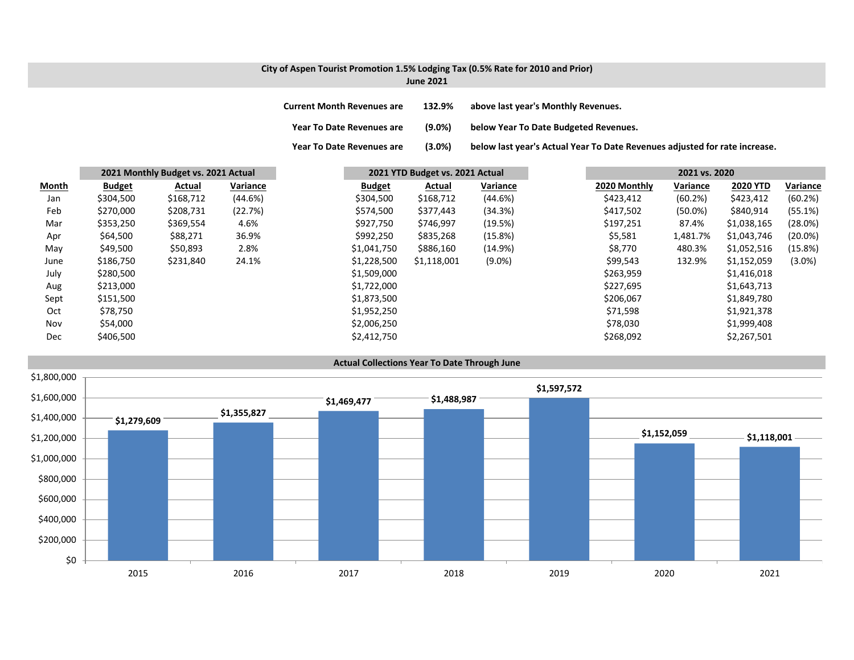# **City of Aspen Tourist Promotion 1.5% Lodging Tax (0.5% Rate for 2010 and Prior)**

**June 2021**

**Year To**

**Current MonthRevenues are 132.9% above last year's Monthly Revenues.**

**Year ToDate Revenues are (9.0%) below Year To Date Budgeted Revenues.**

(3.0%) below last year's Actual Year To Date Revenues adjusted for rate increase.

|              |               | 2021 Monthly Budget vs. 2021 Actual |          | 2021 YTD Budget vs. 2021 Actual |             |           |              | 2021 vs. 2020 |                 |            |
|--------------|---------------|-------------------------------------|----------|---------------------------------|-------------|-----------|--------------|---------------|-----------------|------------|
| <b>Month</b> | <b>Budget</b> | Actual                              | Variance | <b>Budget</b>                   | Actual      | Variance  | 2020 Monthly | Variance      | <b>2020 YTD</b> | Variance   |
| Jan          | \$304,500     | \$168,712                           | (44.6%)  | \$304,500                       | \$168,712   | (44.6%)   | \$423,412    | (60.2%)       | \$423,412       | (60.2%)    |
| Feb          | \$270,000     | \$208,731                           | (22.7%)  | \$574,500                       | \$377,443   | (34.3%)   | \$417,502    | $(50.0\%)$    | \$840,914       | (55.1%)    |
| Mar          | \$353,250     | \$369,554                           | 4.6%     | \$927,750                       | \$746,997   | (19.5%)   | \$197,251    | 87.4%         | \$1,038,165     | (28.0%)    |
| Apr          | \$64,500      | \$88,271                            | 36.9%    | \$992,250                       | \$835,268   | (15.8%)   | \$5,581      | 1,481.7%      | \$1,043,746     | $(20.0\%)$ |
| May          | \$49,500      | \$50,893                            | 2.8%     | \$1,041,750                     | \$886,160   | (14.9%)   | \$8,770      | 480.3%        | \$1,052,516     | (15.8%)    |
| June         | \$186,750     | \$231,840                           | 24.1%    | \$1,228,500                     | \$1,118,001 | $(9.0\%)$ | \$99,543     | 132.9%        | \$1,152,059     | $(3.0\%)$  |
| July         | \$280,500     |                                     |          | \$1,509,000                     |             |           | \$263,959    |               | \$1,416,018     |            |
| Aug          | \$213,000     |                                     |          | \$1,722,000                     |             |           | \$227,695    |               | \$1,643,713     |            |
| Sept         | \$151,500     |                                     |          | \$1,873,500                     |             |           | \$206,067    |               | \$1,849,780     |            |
| Oct          | \$78,750      |                                     |          | \$1,952,250                     |             |           | \$71,598     |               | \$1,921,378     |            |
| Nov          | \$54,000      |                                     |          | \$2,006,250                     |             |           | \$78,030     |               | \$1,999,408     |            |
| Dec          | \$406,500     |                                     |          | \$2,412,750                     |             |           | \$268,092    |               | \$2,267,501     |            |

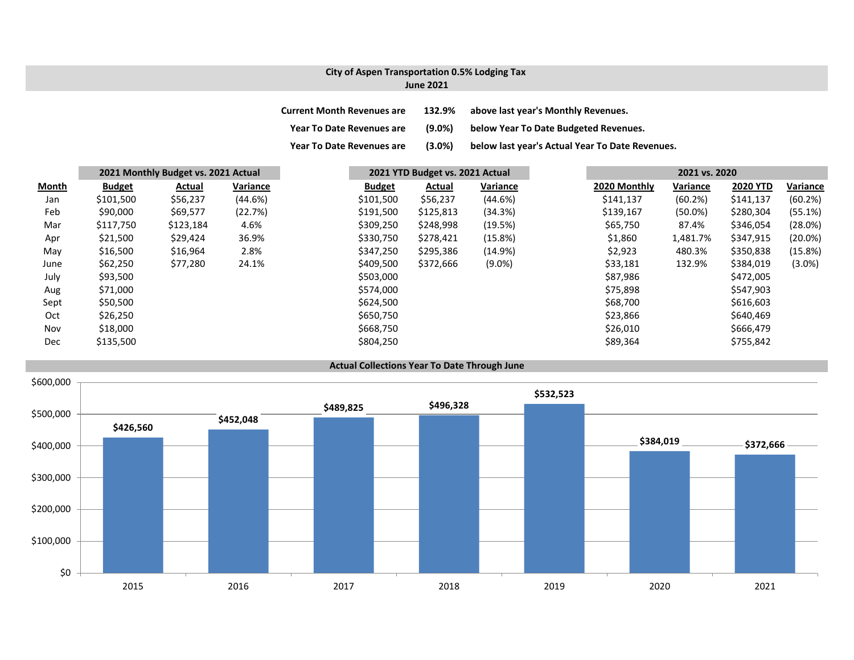## **City of Aspen Transportation 0.5% Lodging Tax June 2021**

| <b>Current Month Revenues are</b> | 132.9%    | above last year's Monthly Revenues.             |
|-----------------------------------|-----------|-------------------------------------------------|
| <b>Year To Date Revenues are</b>  | $(9.0\%)$ | below Year To Date Budgeted Revenues.           |
| <b>Year To Date Revenues are</b>  | $(3.0\%)$ | below last year's Actual Year To Date Revenues. |

|              |               | 2021 Monthly Budget vs. 2021 Actual |          |               | 2021 YTD Budget vs. 2021 Actual |           |  | 2021 vs. 2020 |            |                 |            |
|--------------|---------------|-------------------------------------|----------|---------------|---------------------------------|-----------|--|---------------|------------|-----------------|------------|
| <b>Month</b> | <b>Budget</b> | Actual                              | Variance | <b>Budget</b> | Actual                          | Variance  |  | 2020 Monthly  | Variance   | <b>2020 YTD</b> | Variance   |
| Jan          | \$101,500     | \$56,237                            | (44.6%)  | \$101,500     | \$56,237                        | (44.6%)   |  | \$141,137     | (60.2%)    | \$141,137       | (60.2%)    |
| Feb          | \$90,000      | \$69,577                            | (22.7%)  | \$191,500     | \$125,813                       | (34.3%)   |  | \$139,167     | $(50.0\%)$ | \$280,304       | (55.1%)    |
| Mar          | \$117,750     | \$123,184                           | 4.6%     | \$309,250     | \$248,998                       | (19.5%)   |  | \$65,750      | 87.4%      | \$346,054       | (28.0%)    |
| Apr          | \$21,500      | \$29,424                            | 36.9%    | \$330,750     | \$278,421                       | (15.8%)   |  | \$1,860       | 1,481.7%   | \$347,915       | $(20.0\%)$ |
| May          | \$16,500      | \$16,964                            | 2.8%     | \$347,250     | \$295,386                       | (14.9%)   |  | \$2,923       | 480.3%     | \$350,838       | (15.8%)    |
| June         | \$62,250      | \$77,280                            | 24.1%    | \$409,500     | \$372,666                       | $(9.0\%)$ |  | \$33,181      | 132.9%     | \$384,019       | $(3.0\%)$  |
| July         | \$93,500      |                                     |          | \$503,000     |                                 |           |  | \$87,986      |            | \$472,005       |            |
| Aug          | \$71,000      |                                     |          | \$574,000     |                                 |           |  | \$75,898      |            | \$547,903       |            |
| Sept         | \$50,500      |                                     |          | \$624,500     |                                 |           |  | \$68,700      |            | \$616,603       |            |
| Oct          | \$26,250      |                                     |          | \$650,750     |                                 |           |  | \$23,866      |            | \$640,469       |            |
| Nov          | \$18,000      |                                     |          | \$668,750     |                                 |           |  | \$26,010      |            | \$666,479       |            |
| Dec          | \$135,500     |                                     |          | \$804,250     |                                 |           |  | \$89,364      |            | \$755,842       |            |

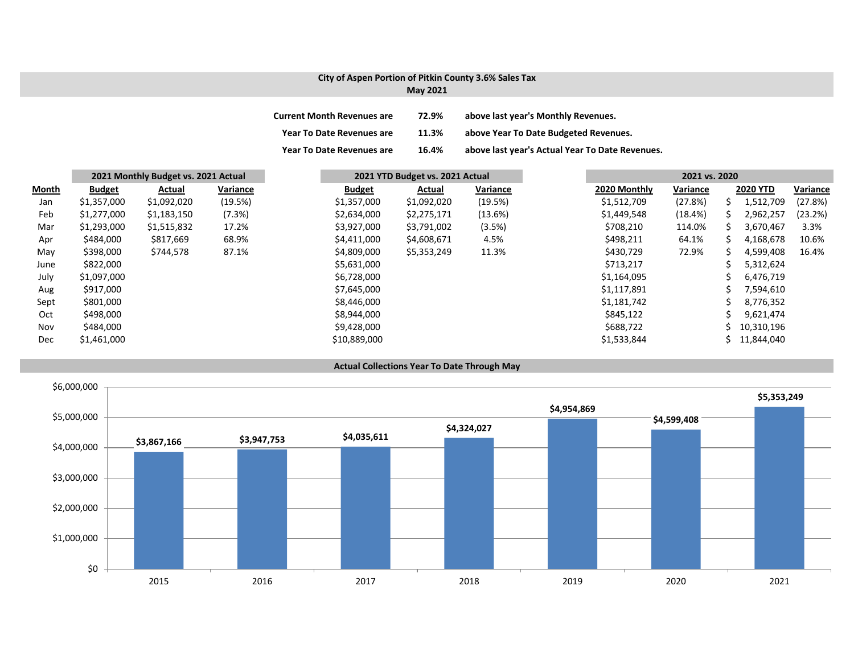## **City of Aspen Portion of Pitkin County 3.6% Sales Tax**

| <b>May 2021</b> |  |
|-----------------|--|
|-----------------|--|

| <b>Current Month Revenues are</b> | 72.9% | above last year's Monthly Revenues.             |
|-----------------------------------|-------|-------------------------------------------------|
| <b>Year To Date Revenues are</b>  | 11.3% | above Year To Date Budgeted Revenues.           |
| <b>Year To Date Revenues are</b>  | 16.4% | above last year's Actual Year To Date Revenues. |

|              | 2021 Monthly Budget vs. 2021 Actual |             |          | 2021 YTD Budget vs. 2021 Actual |             |          |  | 2021 vs. 2020 |          |    |                 |          |
|--------------|-------------------------------------|-------------|----------|---------------------------------|-------------|----------|--|---------------|----------|----|-----------------|----------|
| <b>Month</b> | <b>Budget</b>                       | Actual      | Variance | <b>Budget</b>                   | Actual      | Variance |  | 2020 Monthly  | Variance |    | <b>2020 YTD</b> | Variance |
| Jan          | \$1,357,000                         | \$1,092,020 | (19.5%)  | \$1,357,000                     | \$1,092,020 | (19.5%)  |  | \$1,512,709   | (27.8%)  | S  | 1,512,709       | (27.8%)  |
| Feb          | \$1,277,000                         | \$1,183,150 | (7.3%)   | \$2,634,000                     | \$2,275,171 | (13.6%)  |  | \$1,449,548   | (18.4%)  | S. | 2,962,257       | (23.2%)  |
| Mar          | \$1,293,000                         | \$1,515,832 | 17.2%    | \$3,927,000                     | \$3,791,002 | (3.5%)   |  | \$708,210     | 114.0%   | S. | 3,670,467       | 3.3%     |
| Apr          | \$484,000                           | \$817,669   | 68.9%    | \$4,411,000                     | \$4,608,671 | 4.5%     |  | \$498,211     | 64.1%    | ς  | 4,168,678       | 10.6%    |
| May          | \$398,000                           | \$744,578   | 87.1%    | \$4,809,000                     | \$5,353,249 | 11.3%    |  | \$430,729     | 72.9%    |    | 4,599,408       | 16.4%    |
| June         | \$822,000                           |             |          | \$5,631,000                     |             |          |  | \$713,217     |          |    | 5,312,624       |          |
| July         | \$1,097,000                         |             |          | \$6,728,000                     |             |          |  | \$1,164,095   |          |    | 6,476,719       |          |
| Aug          | \$917,000                           |             |          | \$7,645,000                     |             |          |  | \$1,117,891   |          |    | 7,594,610       |          |
| Sept         | \$801,000                           |             |          | \$8,446,000                     |             |          |  | \$1,181,742   |          |    | 8,776,352       |          |
| Oct          | \$498,000                           |             |          | \$8,944,000                     |             |          |  | \$845,122     |          |    | 9,621,474       |          |
| Nov          | \$484,000                           |             |          | \$9,428,000                     |             |          |  | \$688,722     |          |    | 10,310,196      |          |
| <b>Dec</b>   | \$1,461,000                         |             |          | \$10,889,000                    |             |          |  | \$1,533,844   |          | S. | 11,844,040      |          |



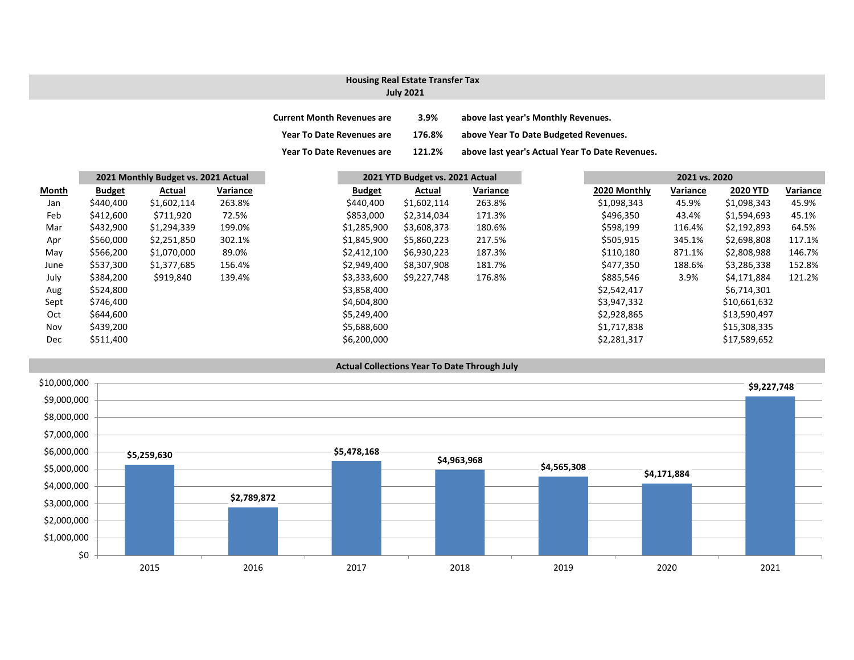# **Housing Real Estate Transfer Tax**

## **July 2021**

| <b>Current Month Revenues are</b> | 3.9%   | above last year's Monthly Revenues.             |
|-----------------------------------|--------|-------------------------------------------------|
| <b>Year To Date Revenues are</b>  | 176.8% | above Year To Date Budgeted Revenues.           |
| <b>Year To Date Revenues are</b>  | 121.2% | above last year's Actual Year To Date Revenues. |

|              | 2021 Monthly Budget vs. 2021 Actual |             |          | 2021 YTD Budget vs. 2021 Actual |             |          | 2021 vs. 2020 |          |                 |          |
|--------------|-------------------------------------|-------------|----------|---------------------------------|-------------|----------|---------------|----------|-----------------|----------|
| <b>Month</b> | <b>Budget</b>                       | Actual      | Variance | <b>Budget</b>                   | Actual      | Variance | 2020 Monthly  | Variance | <b>2020 YTD</b> | Variance |
| Jan          | \$440,400                           | \$1,602,114 | 263.8%   | \$440,400                       | \$1,602,114 | 263.8%   | \$1,098,343   | 45.9%    | \$1,098,343     | 45.9%    |
| Feb          | \$412,600                           | \$711,920   | 72.5%    | \$853,000                       | \$2,314,034 | 171.3%   | \$496,350     | 43.4%    | \$1,594,693     | 45.1%    |
| Mar          | \$432,900                           | \$1,294,339 | 199.0%   | \$1,285,900                     | \$3,608,373 | 180.6%   | \$598,199     | 116.4%   | \$2,192,893     | 64.5%    |
| Apr          | \$560,000                           | \$2,251,850 | 302.1%   | \$1,845,900                     | \$5,860,223 | 217.5%   | \$505,915     | 345.1%   | \$2,698,808     | 117.1%   |
| May          | \$566,200                           | \$1,070,000 | 89.0%    | \$2,412,100                     | \$6,930,223 | 187.3%   | \$110,180     | 871.1%   | \$2,808,988     | 146.7%   |
| June         | \$537,300                           | \$1,377,685 | 156.4%   | \$2,949,400                     | \$8,307,908 | 181.7%   | \$477,350     | 188.6%   | \$3,286,338     | 152.8%   |
| July         | \$384,200                           | \$919,840   | 139.4%   | \$3,333,600                     | \$9,227,748 | 176.8%   | \$885,546     | 3.9%     | \$4,171,884     | 121.2%   |
| Aug          | \$524,800                           |             |          | \$3,858,400                     |             |          | \$2,542,417   |          | \$6,714,301     |          |
| Sept         | \$746,400                           |             |          | \$4,604,800                     |             |          | \$3,947,332   |          | \$10,661,632    |          |
| Oct          | \$644,600                           |             |          | \$5,249,400                     |             |          | \$2,928,865   |          | \$13,590,497    |          |
| Nov          | \$439,200                           |             |          | \$5,688,600                     |             |          | \$1,717,838   |          | \$15,308,335    |          |
| <b>Dec</b>   | \$511,400                           |             |          | \$6,200,000                     |             |          | \$2,281,317   |          | \$17,589,652    |          |